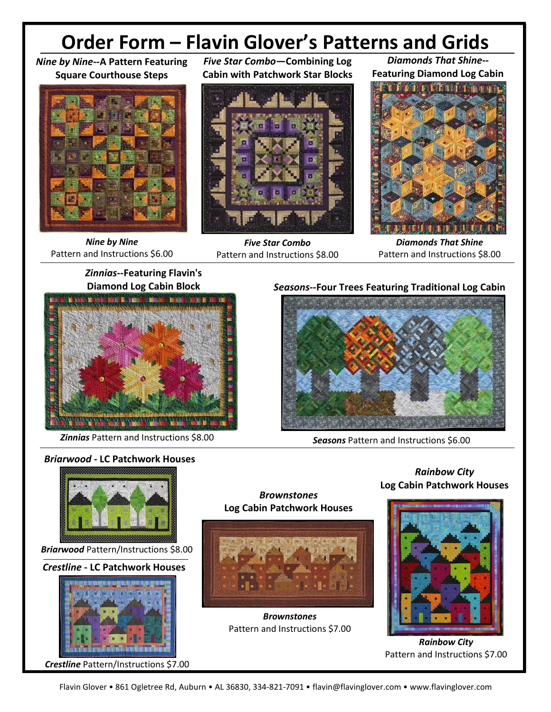# **Order Form – Flavin Glover's Patterns and Grids**

#### *Nine by Nine***--A Pattern Featuring Square Courthouse Steps**



*Nine by Nine* Pattern and Instructions \$6.00

*Five Star Combo***—Combining Log Cabin with Patchwork Star Blocks**



*Five Star Combo* Pattern and Instructions \$8.00



*Diamonds That Shine***--**



*Diamonds That Shine* Pattern and Instructions \$8.00

*Zinnias***--Featuring Flavin's Diamond Log Cabin Block**



*Zinnias* Pattern and Instructions \$8.00

## *Seasons***--Four Trees Featuring Traditional Log Cabin**



*Seasons* Pattern and Instructions \$6.00





*Crestline* Pattern/Instructions \$7.00



*Brownstones*

*Brownstones* Pattern and Instructions \$7.00

### *Rainbow City* **Log Cabin Patchwork Houses**



*Rainbow City* Pattern and Instructions \$7.00